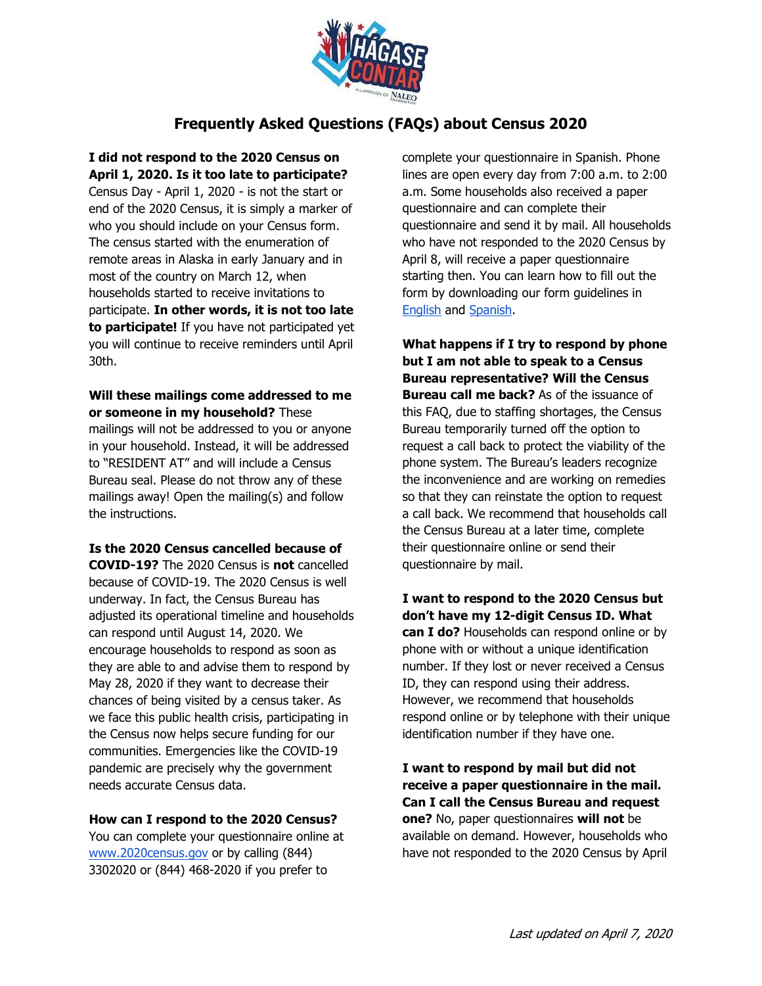

# **Frequently Asked Questions (FAQs) about Census 2020**

**I did not respond to the 2020 Census on April 1, 2020. Is it too late to participate?**  Census Day - April 1, 2020 - is not the start or end of the 2020 Census, it is simply a marker of who you should include on your Census form. The census started with the enumeration of remote areas in Alaska in early January and in most of the country on March 12, when households started to receive invitations to participate. **In other words, it is not too late to participate!** If you have not participated yet you will continue to receive reminders until April 30th.

### **Will these mailings come addressed to me or someone in my household?** These

mailings will not be addressed to you or anyone in your household. Instead, it will be addressed to "RESIDENT AT" and will include a Census Bureau seal. Please do not throw any of these mailings away! Open the mailing(s) and follow the instructions.

**Is the 2020 Census cancelled because of COVID-19?** The 2020 Census is **not** cancelled because of COVID-19. The 2020 Census is well underway. In fact, the Census Bureau has adjusted its operational timeline and households can respond until August 14, 2020. We encourage households to respond as soon as they are able to and advise them to respond by May 28, 2020 if they want to decrease their chances of being visited by a census taker. As

we face this public health crisis, participating in the Census now helps secure funding for our communities. Emergencies like the COVID-19 pandemic are precisely why the government needs accurate Census data.

### **How can I respond to the 2020 Census?**

You can complete your questionnaire online at [www.2020census.gov](http://www.2020census.gov/) [o](http://www.2020census.gov/)r by calling (844) 3302020 or (844) 468-2020 if you prefer to

complete your questionnaire in Spanish. Phone lines are open every day from 7:00 a.m. to 2:00 a.m. Some households also received a paper questionnaire and can complete their questionnaire and send it by mail. All households who have not responded to the 2020 Census by April 8, will receive a paper questionnaire starting then. You can learn how to fill out the form by downloading our form guidelines i[n](http://hagasecontar.org/wp-content/uploads/2020/03/Census-form-instructions-NEF-03092020-Final-1.pdf) [English](http://hagasecontar.org/wp-content/uploads/2020/03/Census-form-instructions-NEF-03092020-Final-1.pdf) an[d](https://hagasecontar.org/wp-content/uploads/2020/03/Census-form-instructions-NEF-SPAN-Final-3-26-20.pdf) [Spanish.](https://hagasecontar.org/wp-content/uploads/2020/03/Census-form-instructions-NEF-SPAN-Final-3-26-20.pdf) 

**What happens if I try to respond by phone but I am not able to speak to a Census Bureau representative? Will the Census Bureau call me back?** As of the issuance of this FAQ, due to staffing shortages, the Census Bureau temporarily turned off the option to request a call back to protect the viability of the phone system. The Bureau's leaders recognize the inconvenience and are working on remedies so that they can reinstate the option to request a call back. We recommend that households call the Census Bureau at a later time, complete their questionnaire online or send their questionnaire by mail.

**I want to respond to the 2020 Census but don't have my 12-digit Census ID. What can I do?** Households can respond online or by phone with or without a unique identification number. If they lost or never received a Census ID, they can respond using their address. However, we recommend that households respond online or by telephone with their unique identification number if they have one.

**I want to respond by mail but did not receive a paper questionnaire in the mail. Can I call the Census Bureau and request one?** No, paper questionnaires **will not** be available on demand. However, households who have not responded to the 2020 Census by April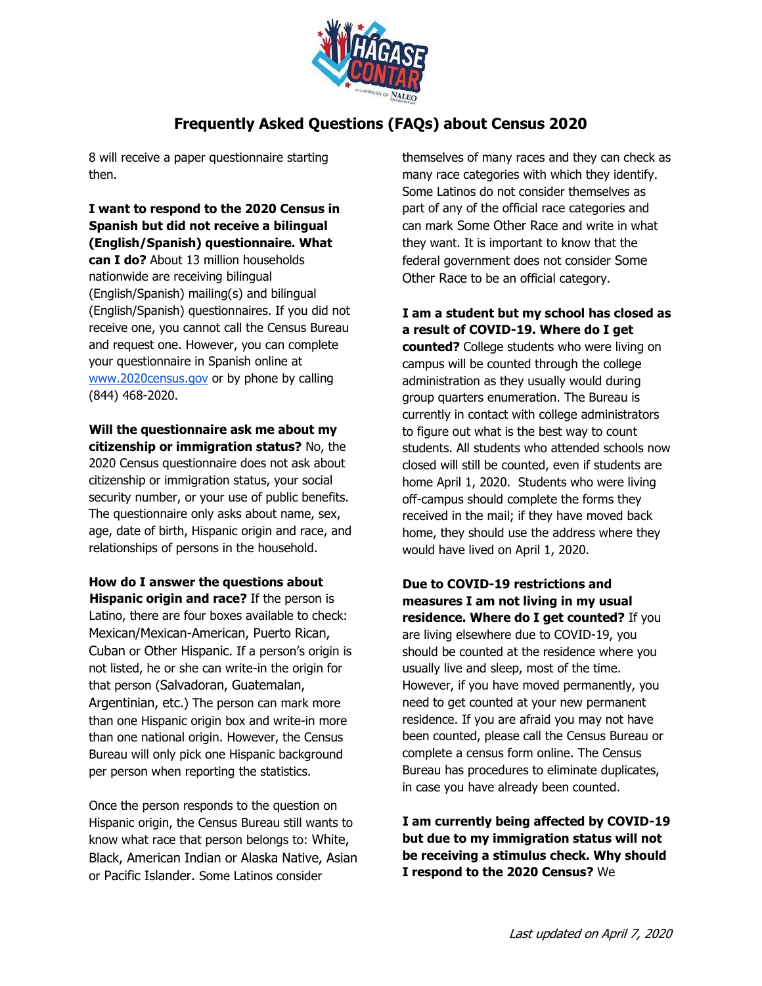

# **Frequently Asked Questions (FAQs) about Census 2020**

8 will receive a paper questionnaire starting then.

**I want to respond to the 2020 Census in Spanish but did not receive a bilingual (English/Spanish) questionnaire. What can I do?** About 13 million households nationwide are receiving bilingual (English/Spanish) mailing(s) and bilingual (English/Spanish) questionnaires. If you did not receive one, you cannot call the Census Bureau and request one. However, you can complete your questionnaire in Spanish online at [www.2020census.gov](http://www.2020census.gov/) [o](http://www.2020census.gov/)r by phone by calling (844) 468-2020.

**Will the questionnaire ask me about my citizenship or immigration status?** No, the 2020 Census questionnaire does not ask about citizenship or immigration status, your social security number, or your use of public benefits. The questionnaire only asks about name, sex, age, date of birth, Hispanic origin and race, and relationships of persons in the household.

**How do I answer the questions about Hispanic origin and race?** If the person is Latino, there are four boxes available to check: Mexican/Mexican-American, Puerto Rican, Cuban or Other Hispanic. If a person's origin is not listed, he or she can write-in the origin for that person (Salvadoran, Guatemalan, Argentinian, etc.) The person can mark more than one Hispanic origin box and write-in more than one national origin. However, the Census Bureau will only pick one Hispanic background per person when reporting the statistics.

Once the person responds to the question on Hispanic origin, the Census Bureau still wants to know what race that person belongs to: White, Black, American Indian or Alaska Native, Asian or Pacific Islander. Some Latinos consider

themselves of many races and they can check as many race categories with which they identify. Some Latinos do not consider themselves as part of any of the official race categories and can mark Some Other Race and write in what they want. It is important to know that the federal government does not consider Some Other Race to be an official category.

**I am a student but my school has closed as a result of COVID-19. Where do I get** 

**counted?** College students who were living on campus will be counted through the college administration as they usually would during group quarters enumeration. The Bureau is currently in contact with college administrators to figure out what is the best way to count students. All students who attended schools now closed will still be counted, even if students are home April 1, 2020. Students who were living off-campus should complete the forms they received in the mail; if they have moved back home, they should use the address where they would have lived on April 1, 2020.

**Due to COVID-19 restrictions and measures I am not living in my usual residence. Where do I get counted?** If you are living elsewhere due to COVID-19, you should be counted at the residence where you usually live and sleep, most of the time. However, if you have moved permanently, you need to get counted at your new permanent residence. If you are afraid you may not have been counted, please call the Census Bureau or complete a census form online. The Census Bureau has procedures to eliminate duplicates, in case you have already been counted.

**I am currently being affected by COVID-19 but due to my immigration status will not be receiving a stimulus check. Why should I respond to the 2020 Census?** We